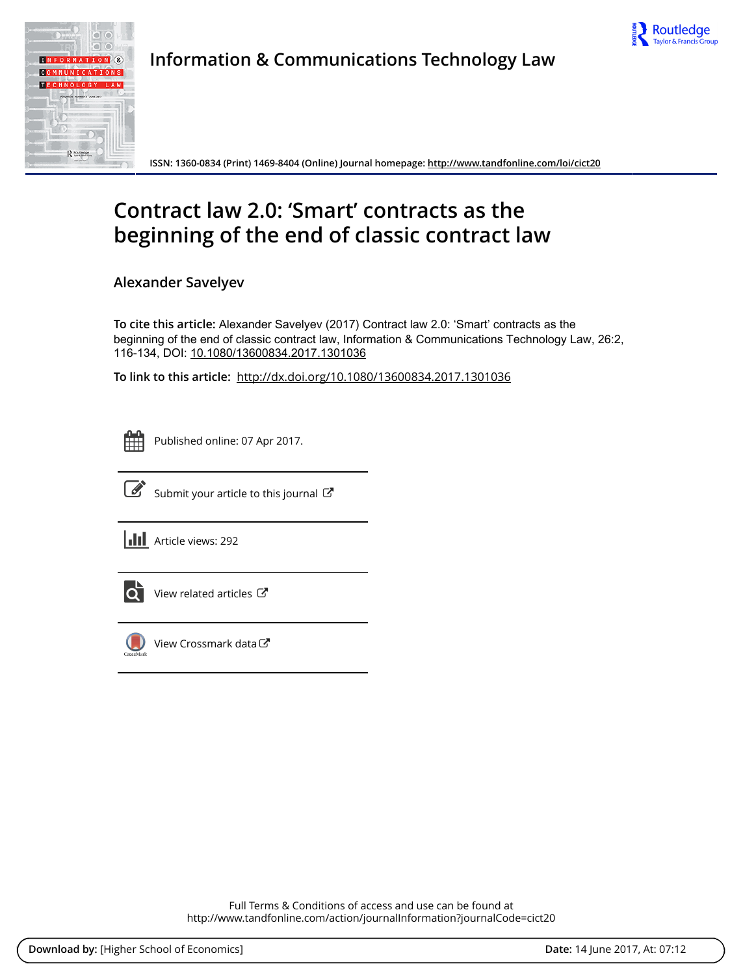



Information & Communications Technology Law

ISSN: 1360-0834 (Print) 1469-8404 (Online) Journal homepage:<http://www.tandfonline.com/loi/cict20>

# Contract law 2.0: 'Smart' contracts as the beginning of the end of classic contract law

Alexander Savelyev

To cite this article: Alexander Savelyev (2017) Contract law 2.0: 'Smart' contracts as the beginning of the end of classic contract law, Information & Communications Technology Law, 26:2, 116-134, DOI: [10.1080/13600834.2017.1301036](http://www.tandfonline.com/action/showCitFormats?doi=10.1080/13600834.2017.1301036)

To link to this article: <http://dx.doi.org/10.1080/13600834.2017.1301036>

|  | -- | _ |  |
|--|----|---|--|
|  |    |   |  |
|  |    |   |  |
|  |    |   |  |

Published online: 07 Apr 2017.



 $\overrightarrow{S}$  [Submit your article to this journal](http://www.tandfonline.com/action/authorSubmission?journalCode=cict20&show=instructions)  $\overrightarrow{S}$ 

**III** Article views: 292



 $\overline{Q}$  [View related articles](http://www.tandfonline.com/doi/mlt/10.1080/13600834.2017.1301036)  $\overline{C}$ 



 $\bigcirc$  [View Crossmark data](http://crossmark.crossref.org/dialog/?doi=10.1080/13600834.2017.1301036&domain=pdf&date_stamp=2017-04-07) $\mathbb{Z}$ 

Full Terms & Conditions of access and use can be found at <http://www.tandfonline.com/action/journalInformation?journalCode=cict20>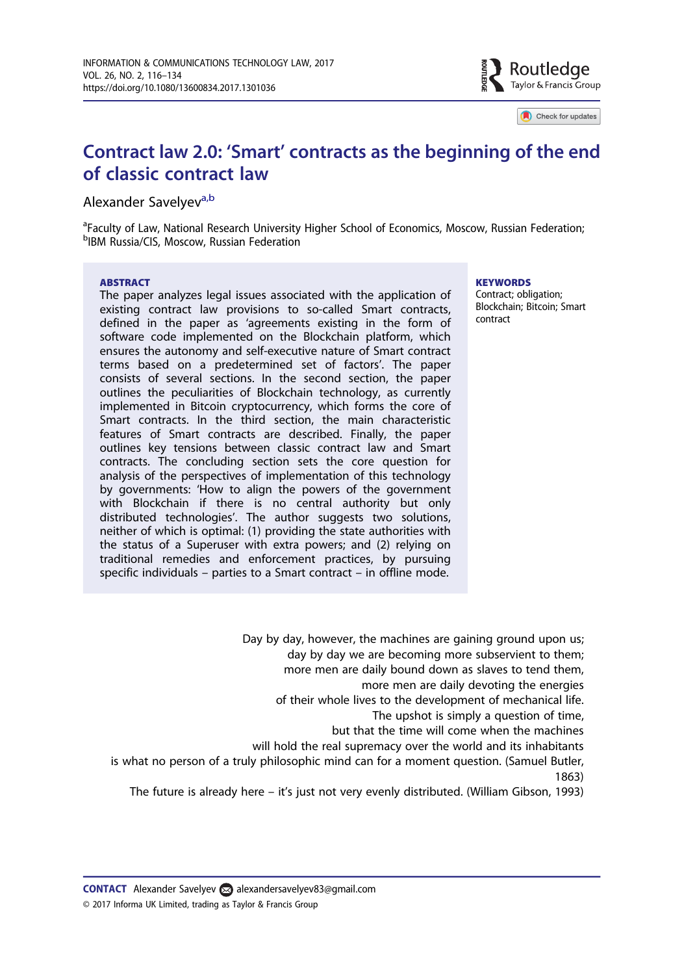

Check for updates

## Contract law 2.0: 'Smart' contracts as the beginning of the end of classic contract law

#### Alexander Savelvev<sup>a,b</sup>

<sup>a</sup>Faculty of Law, National Research University Higher School of Economics, Moscow, Russian Federation; b IBM Russia/CIS, Moscow, Russian Federation

#### **ABSTRACT**

The paper analyzes legal issues associated with the application of existing contract law provisions to so-called Smart contracts, defined in the paper as 'agreements existing in the form of software code implemented on the Blockchain platform, which ensures the autonomy and self-executive nature of Smart contract terms based on a predetermined set of factors'. The paper consists of several sections. In the second section, the paper outlines the peculiarities of Blockchain technology, as currently implemented in Bitcoin cryptocurrency, which forms the core of Smart contracts. In the third section, the main characteristic features of Smart contracts are described. Finally, the paper outlines key tensions between classic contract law and Smart contracts. The concluding section sets the core question for analysis of the perspectives of implementation of this technology by governments: 'How to align the powers of the government with Blockchain if there is no central authority but only distributed technologies'. The author suggests two solutions, neither of which is optimal: (1) providing the state authorities with the status of a Superuser with extra powers; and (2) relying on traditional remedies and enforcement practices, by pursuing specific individuals – parties to a Smart contract – in offline mode.

#### **KEYWORDS**

Contract; obligation; Blockchain; Bitcoin; Smart contract

Day by day, however, the machines are gaining ground upon us; day by day we are becoming more subservient to them; more men are daily bound down as slaves to tend them, more men are daily devoting the energies of their whole lives to the development of mechanical life. The upshot is simply a question of time, but that the time will come when the machines will hold the real supremacy over the world and its inhabitants is what no person of a truly philosophic mind can for a moment question. (Samuel Butler, 1863)

The future is already here – it's just not very evenly distributed. (William Gibson, 1993)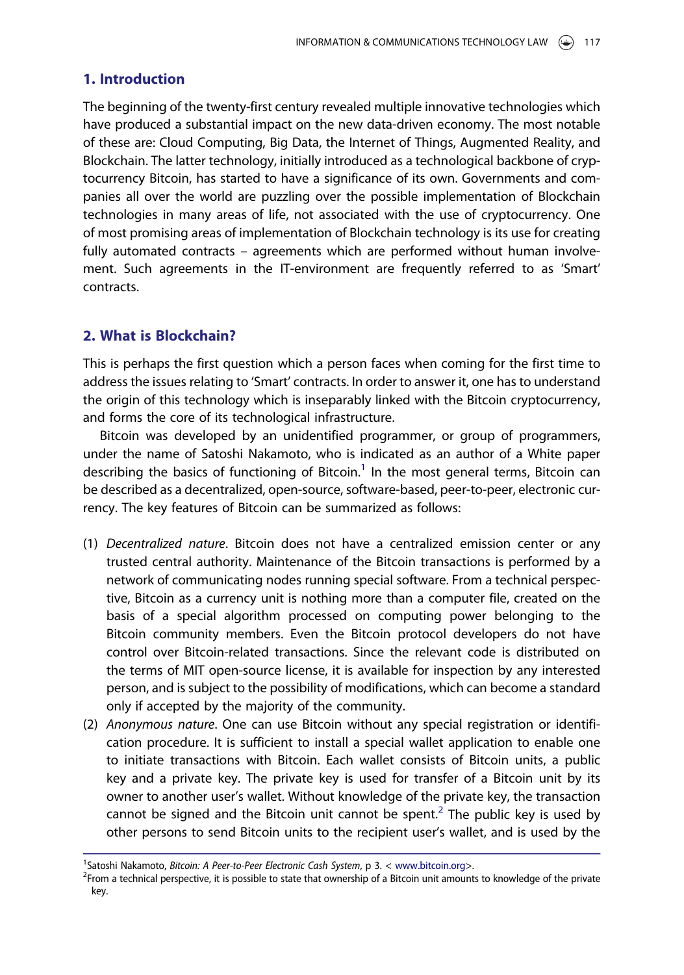#### 1. Introduction

The beginning of the twenty-first century revealed multiple innovative technologies which have produced a substantial impact on the new data-driven economy. The most notable of these are: Cloud Computing, Big Data, the Internet of Things, Augmented Reality, and Blockchain. The latter technology, initially introduced as a technological backbone of cryptocurrency Bitcoin, has started to have a significance of its own. Governments and companies all over the world are puzzling over the possible implementation of Blockchain technologies in many areas of life, not associated with the use of cryptocurrency. One of most promising areas of implementation of Blockchain technology is its use for creating fully automated contracts – agreements which are performed without human involvement. Such agreements in the IT-environment are frequently referred to as 'Smart' contracts.

## 2. What is Blockchain?

This is perhaps the first question which a person faces when coming for the first time to address the issues relating to 'Smart' contracts. In order to answer it, one has to understand the origin of this technology which is inseparably linked with the Bitcoin cryptocurrency, and forms the core of its technological infrastructure.

Bitcoin was developed by an unidentified programmer, or group of programmers, under the name of Satoshi Nakamoto, who is indicated as an author of a White paper describing the basics of functioning of Bitcoin.<sup>1</sup> In the most general terms, Bitcoin can be described as a decentralized, open-source, software-based, peer-to-peer, electronic currency. The key features of Bitcoin can be summarized as follows:

- (1) Decentralized nature. Bitcoin does not have a centralized emission center or any trusted central authority. Maintenance of the Bitcoin transactions is performed by a network of communicating nodes running special software. From a technical perspective, Bitcoin as a currency unit is nothing more than a computer file, created on the basis of a special algorithm processed on computing power belonging to the Bitcoin community members. Even the Bitcoin protocol developers do not have control over Bitcoin-related transactions. Since the relevant code is distributed on the terms of MIT open-source license, it is available for inspection by any interested person, and is subject to the possibility of modifications, which can become a standard only if accepted by the majority of the community.
- (2) Anonymous nature. One can use Bitcoin without any special registration or identification procedure. It is sufficient to install a special wallet application to enable one to initiate transactions with Bitcoin. Each wallet consists of Bitcoin units, a public key and a private key. The private key is used for transfer of a Bitcoin unit by its owner to another user's wallet. Without knowledge of the private key, the transaction cannot be signed and the Bitcoin unit cannot be spent.<sup>2</sup> The public key is used by other persons to send Bitcoin units to the recipient user's wallet, and is used by the

<sup>&</sup>lt;sup>1</sup>Satoshi Nakamoto, *Bitcoin: A Peer-to-Peer Electronic Cash System*, p 3. < [www.bitcoin.org>](http://www.bitcoin.org).<br><sup>2</sup>Erom a technical perspective, it is possible to state that ownership of a Bitcoin unit amount

<sup>&</sup>lt;sup>2</sup>From a technical perspective, it is possible to state that ownership of a Bitcoin unit amounts to knowledge of the private key.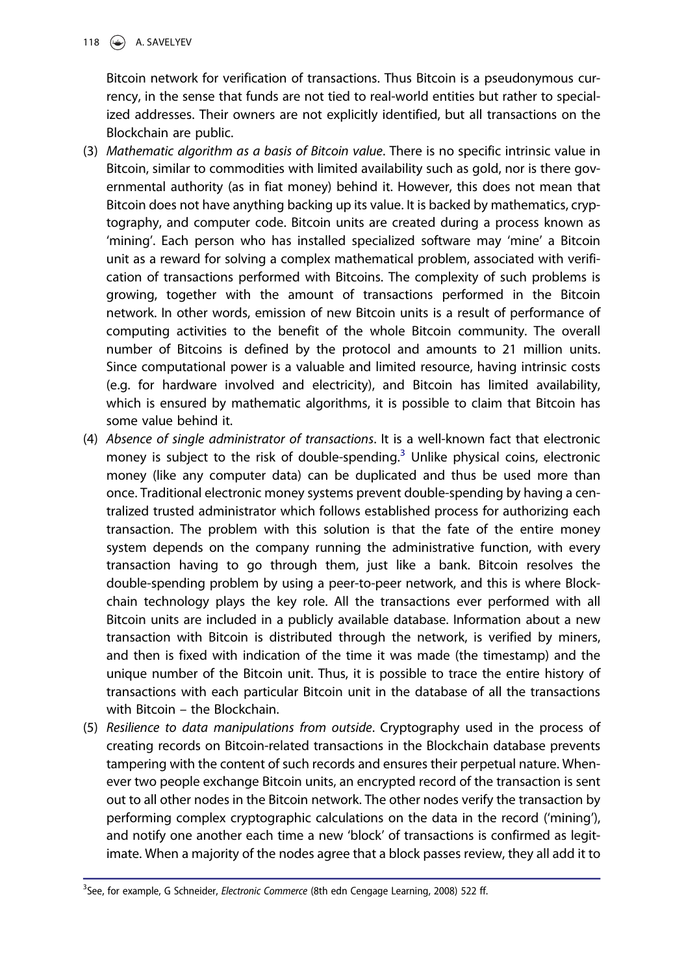Bitcoin network for verification of transactions. Thus Bitcoin is a pseudonymous currency, in the sense that funds are not tied to real-world entities but rather to specialized addresses. Their owners are not explicitly identified, but all transactions on the Blockchain are public.

- (3) Mathematic algorithm as a basis of Bitcoin value. There is no specific intrinsic value in Bitcoin, similar to commodities with limited availability such as gold, nor is there governmental authority (as in fiat money) behind it. However, this does not mean that Bitcoin does not have anything backing up its value. It is backed by mathematics, cryptography, and computer code. Bitcoin units are created during a process known as 'mining'. Each person who has installed specialized software may 'mine' a Bitcoin unit as a reward for solving a complex mathematical problem, associated with verification of transactions performed with Bitcoins. The complexity of such problems is growing, together with the amount of transactions performed in the Bitcoin network. In other words, emission of new Bitcoin units is a result of performance of computing activities to the benefit of the whole Bitcoin community. The overall number of Bitcoins is defined by the protocol and amounts to 21 million units. Since computational power is a valuable and limited resource, having intrinsic costs (e.g. for hardware involved and electricity), and Bitcoin has limited availability, which is ensured by mathematic algorithms, it is possible to claim that Bitcoin has some value behind it.
- (4) Absence of single administrator of transactions. It is a well-known fact that electronic money is subject to the risk of double-spending.<sup>3</sup> Unlike physical coins, electronic money (like any computer data) can be duplicated and thus be used more than once. Traditional electronic money systems prevent double-spending by having a centralized trusted administrator which follows established process for authorizing each transaction. The problem with this solution is that the fate of the entire money system depends on the company running the administrative function, with every transaction having to go through them, just like a bank. Bitcoin resolves the double-spending problem by using a peer-to-peer network, and this is where Blockchain technology plays the key role. All the transactions ever performed with all Bitcoin units are included in a publicly available database. Information about a new transaction with Bitcoin is distributed through the network, is verified by miners, and then is fixed with indication of the time it was made (the timestamp) and the unique number of the Bitcoin unit. Thus, it is possible to trace the entire history of transactions with each particular Bitcoin unit in the database of all the transactions with Bitcoin – the Blockchain.
- (5) Resilience to data manipulations from outside. Cryptography used in the process of creating records on Bitcoin-related transactions in the Blockchain database prevents tampering with the content of such records and ensures their perpetual nature. Whenever two people exchange Bitcoin units, an encrypted record of the transaction is sent out to all other nodes in the Bitcoin network. The other nodes verify the transaction by performing complex cryptographic calculations on the data in the record ('mining'), and notify one another each time a new 'block' of transactions is confirmed as legitimate. When a majority of the nodes agree that a block passes review, they all add it to

<sup>&</sup>lt;sup>3</sup>See, for example, G Schneider, *Electronic Commerce* (8th edn Cengage Learning, 2008) 522 ff.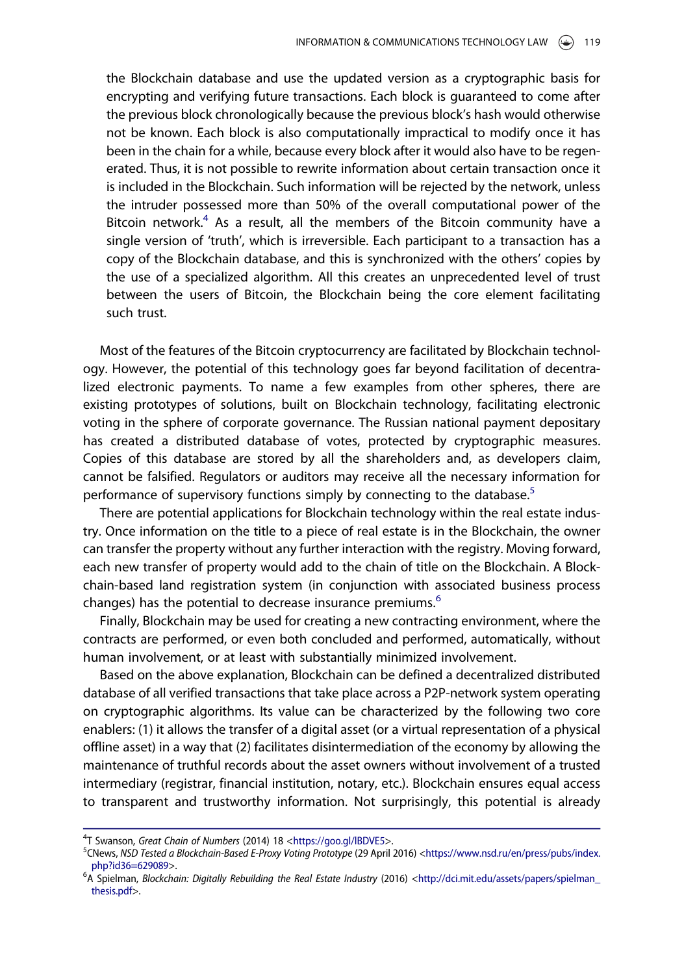the Blockchain database and use the updated version as a cryptographic basis for encrypting and verifying future transactions. Each block is guaranteed to come after the previous block chronologically because the previous block's hash would otherwise not be known. Each block is also computationally impractical to modify once it has been in the chain for a while, because every block after it would also have to be regenerated. Thus, it is not possible to rewrite information about certain transaction once it is included in the Blockchain. Such information will be rejected by the network, unless the intruder possessed more than 50% of the overall computational power of the Bitcoin network.<sup>4</sup> As a result, all the members of the Bitcoin community have a single version of 'truth', which is irreversible. Each participant to a transaction has a copy of the Blockchain database, and this is synchronized with the others' copies by the use of a specialized algorithm. All this creates an unprecedented level of trust between the users of Bitcoin, the Blockchain being the core element facilitating such trust.

Most of the features of the Bitcoin cryptocurrency are facilitated by Blockchain technology. However, the potential of this technology goes far beyond facilitation of decentralized electronic payments. To name a few examples from other spheres, there are existing prototypes of solutions, built on Blockchain technology, facilitating electronic voting in the sphere of corporate governance. The Russian national payment depositary has created a distributed database of votes, protected by cryptographic measures. Copies of this database are stored by all the shareholders and, as developers claim, cannot be falsified. Regulators or auditors may receive all the necessary information for performance of supervisory functions simply by connecting to the database.<sup>5</sup>

There are potential applications for Blockchain technology within the real estate industry. Once information on the title to a piece of real estate is in the Blockchain, the owner can transfer the property without any further interaction with the registry. Moving forward, each new transfer of property would add to the chain of title on the Blockchain. A Blockchain-based land registration system (in conjunction with associated business process changes) has the potential to decrease insurance premiums.<sup>6</sup>

Finally, Blockchain may be used for creating a new contracting environment, where the contracts are performed, or even both concluded and performed, automatically, without human involvement, or at least with substantially minimized involvement.

Based on the above explanation, Blockchain can be defined a decentralized distributed database of all verified transactions that take place across a P2P-network system operating on cryptographic algorithms. Its value can be characterized by the following two core enablers: (1) it allows the transfer of a digital asset (or a virtual representation of a physical offline asset) in a way that (2) facilitates disintermediation of the economy by allowing the maintenance of truthful records about the asset owners without involvement of a trusted intermediary (registrar, financial institution, notary, etc.). Blockchain ensures equal access to transparent and trustworthy information. Not surprisingly, this potential is already

<sup>4</sup>T Swanson, Great Chain of Numbers (2014) 18 <https://goo.gl/IBDVE5>.<br><sup>5</sup>CNows NSD Tested a Blockchain-Based E-Provy Voting Prototyne (29 April

<sup>&</sup>lt;sup>5</sup>CNews, NSD Tested a Blockchain-Based E-Proxy Voting Prototype (29 April 2016) [<https://www.nsd.ru/en/press/pubs/index.](http://www.nsd.ru/en/press/pubs/index.php?id36=629089) [php?id36=629089>](http://www.nsd.ru/en/press/pubs/index.php?id36=629089).

<sup>&</sup>lt;sup>6</sup>A Spielman, Blockchain: Digitally Rebuilding the Real Estate Industry (2016) <[http://dci.mit.edu/assets/papers/spielman\\_](http://dci.mit.edu/assets/papers/spielman_thesis.pdf) [thesis.pdf](http://dci.mit.edu/assets/papers/spielman_thesis.pdf)>.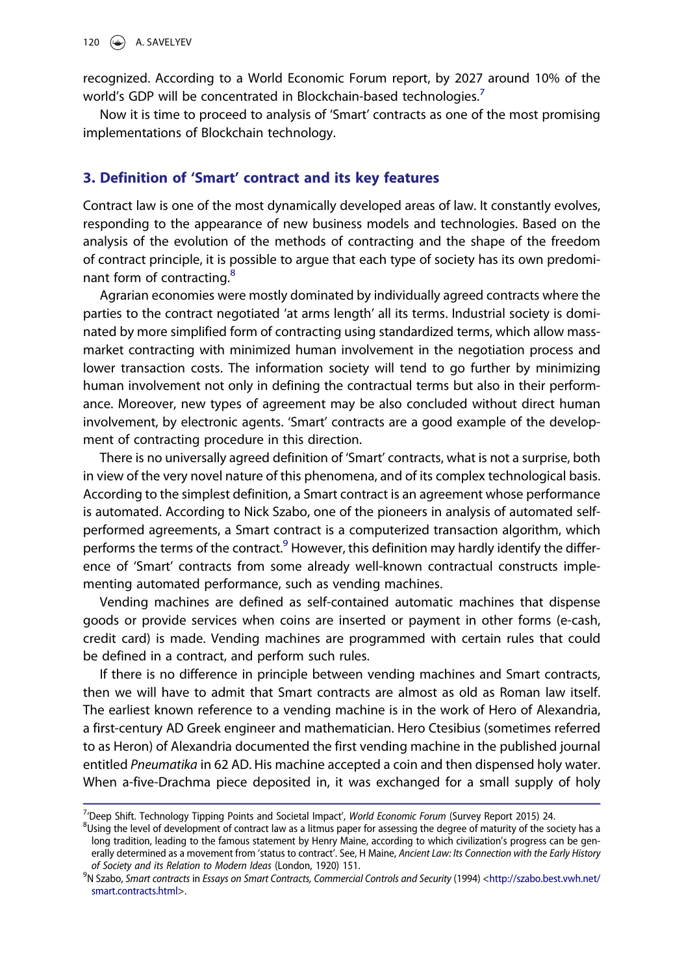recognized. According to a World Economic Forum report, by 2027 around 10% of the world's GDP will be concentrated in Blockchain-based technologies.<sup>7</sup>

Now it is time to proceed to analysis of 'Smart' contracts as one of the most promising implementations of Blockchain technology.

#### 3. Definition of 'Smart' contract and its key features

Contract law is one of the most dynamically developed areas of law. It constantly evolves, responding to the appearance of new business models and technologies. Based on the analysis of the evolution of the methods of contracting and the shape of the freedom of contract principle, it is possible to argue that each type of society has its own predominant form of contracting.<sup>8</sup>

Agrarian economies were mostly dominated by individually agreed contracts where the parties to the contract negotiated 'at arms length' all its terms. Industrial society is dominated by more simplified form of contracting using standardized terms, which allow massmarket contracting with minimized human involvement in the negotiation process and lower transaction costs. The information society will tend to go further by minimizing human involvement not only in defining the contractual terms but also in their performance. Moreover, new types of agreement may be also concluded without direct human involvement, by electronic agents. 'Smart' contracts are a good example of the development of contracting procedure in this direction.

There is no universally agreed definition of 'Smart' contracts, what is not a surprise, both in view of the very novel nature of this phenomena, and of its complex technological basis. According to the simplest definition, a Smart contract is an agreement whose performance is automated. According to Nick Szabo, one of the pioneers in analysis of automated selfperformed agreements, a Smart contract is a computerized transaction algorithm, which performs the terms of the contract. $9$  However, this definition may hardly identify the difference of 'Smart' contracts from some already well-known contractual constructs implementing automated performance, such as vending machines.

Vending machines are defined as self-contained automatic machines that dispense goods or provide services when coins are inserted or payment in other forms (e-cash, credit card) is made. Vending machines are programmed with certain rules that could be defined in a contract, and perform such rules.

If there is no difference in principle between vending machines and Smart contracts, then we will have to admit that Smart contracts are almost as old as Roman law itself. The earliest known reference to a vending machine is in the work of Hero of Alexandria, a first-century AD Greek engineer and mathematician. Hero Ctesibius (sometimes referred to as Heron) of Alexandria documented the first vending machine in the published journal entitled Pneumatika in 62 AD. His machine accepted a coin and then dispensed holy water. When a-five-Drachma piece deposited in, it was exchanged for a small supply of holy

<sup>&</sup>lt;sup>7</sup> Deep Shift. Technology Tipping Points and Societal Impact', *World Economic Forum* (Survey Report 2015) 24.  $\frac{81}{100}$  For the school of the school of the school of the school of the school of the school of the scho

 $^{8}$ Using the level of development of contract law as a litmus paper for assessing the degree of maturity of the society has a long tradition, leading to the famous statement by Henry Maine, according to which civilization's progress can be generally determined as a movement from 'status to contract'. See, H Maine, Ancient Law: Its Connection with the Early History of Society and its Relation to Modern Ideas (London, 1920) 151.

<sup>&</sup>lt;sup>9</sup>N Szabo, Smart contracts in Essays on Smart Contracts, Commercial Controls and Security (1994) [<http://szabo.best.vwh.net/](http://szabo.best.vwh.net/smart.contracts.html) [smart.contracts.html](http://szabo.best.vwh.net/smart.contracts.html)>.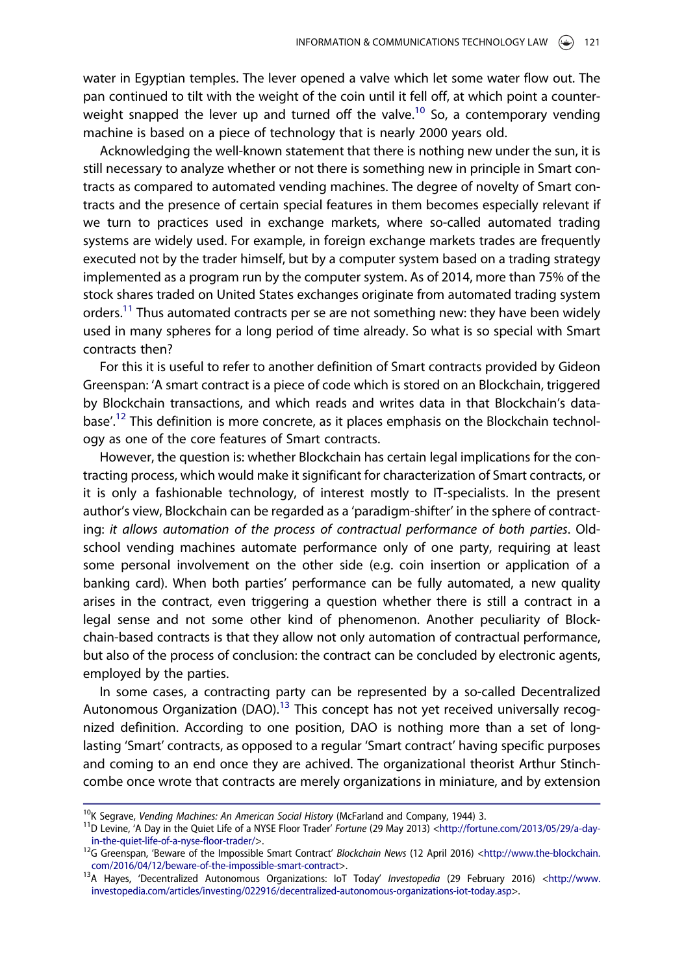water in Egyptian temples. The lever opened a valve which let some water flow out. The pan continued to tilt with the weight of the coin until it fell off, at which point a counterweight snapped the lever up and turned off the valve.<sup>10</sup> So, a contemporary vending machine is based on a piece of technology that is nearly 2000 years old.

Acknowledging the well-known statement that there is nothing new under the sun, it is still necessary to analyze whether or not there is something new in principle in Smart contracts as compared to automated vending machines. The degree of novelty of Smart contracts and the presence of certain special features in them becomes especially relevant if we turn to practices used in exchange markets, where so-called automated trading systems are widely used. For example, in foreign exchange markets trades are frequently executed not by the trader himself, but by a computer system based on a trading strategy implemented as a program run by the computer system. As of 2014, more than 75% of the stock shares traded on United States exchanges originate from automated trading system orders.<sup>11</sup> Thus automated contracts per se are not something new: they have been widely used in many spheres for a long period of time already. So what is so special with Smart contracts then?

For this it is useful to refer to another definition of Smart contracts provided by Gideon Greenspan: 'A smart contract is a piece of code which is stored on an Blockchain, triggered by Blockchain transactions, and which reads and writes data in that Blockchain's database'.<sup>12</sup> This definition is more concrete, as it places emphasis on the Blockchain technology as one of the core features of Smart contracts.

However, the question is: whether Blockchain has certain legal implications for the contracting process, which would make it significant for characterization of Smart contracts, or it is only a fashionable technology, of interest mostly to IT-specialists. In the present author's view, Blockchain can be regarded as a 'paradigm-shifter' in the sphere of contracting: it allows automation of the process of contractual performance of both parties. Oldschool vending machines automate performance only of one party, requiring at least some personal involvement on the other side (e.g. coin insertion or application of a banking card). When both parties' performance can be fully automated, a new quality arises in the contract, even triggering a question whether there is still a contract in a legal sense and not some other kind of phenomenon. Another peculiarity of Blockchain-based contracts is that they allow not only automation of contractual performance, but also of the process of conclusion: the contract can be concluded by electronic agents, employed by the parties.

In some cases, a contracting party can be represented by a so-called Decentralized Autonomous Organization (DAO).<sup>13</sup> This concept has not yet received universally recognized definition. According to one position, DAO is nothing more than a set of longlasting 'Smart' contracts, as opposed to a regular 'Smart contract' having specific purposes and coming to an end once they are achived. The organizational theorist Arthur Stinchcombe once wrote that contracts are merely organizations in miniature, and by extension

<sup>&</sup>lt;sup>10</sup>K Segrave, *Vending Machines: An American Social History* (McFarland and Company, 1944) 3.<br><sup>11</sup>D Levine, 'A Day in the Quiet Life of a NYSE Floor Trader' *Fortune* (29 May 2013) [<http://fortune.com/2013/05/29/a-day-](http://fortune.com/2013/05/29/a-day-in-the-quiet-life-of-a-nyse-floor-trader/)

[in-the-quiet-life-of-a-nyse-floor-trader/](http://fortune.com/2013/05/29/a-day-in-the-quiet-life-of-a-nyse-floor-trader/)>.<br><sup>12</sup>G Greenspan, 'Beware of the Impossible Smart Contract' *Blockchain News* (12 April 2016) [<http://www.the-blockchain.](http://www.the-blockchain.com/2016/04/12/beware-of-the-impossible-smart-contract)<br>com/2016/04/12/beware-of-the-impossible-smart-contract>.

<sup>&</sup>lt;sup>13</sup>A Hayes, 'Decentralized Autonomous Organizations: IoT Today' Investopedia (29 February 2016) <[http://www.](http://www.investopedia.com/articles/investing/022916/decentralized-autonomous-organizations-iot-today.asp) [investopedia.com/articles/investing/022916/decentralized-autonomous-organizations-iot-today.asp](http://www.investopedia.com/articles/investing/022916/decentralized-autonomous-organizations-iot-today.asp)>.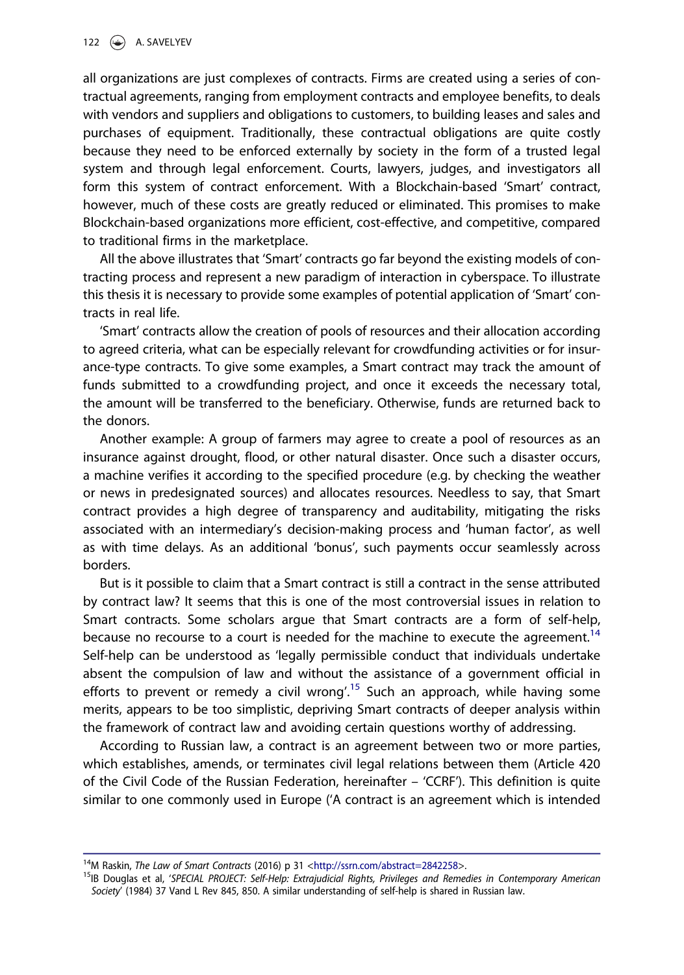all organizations are just complexes of contracts. Firms are created using a series of contractual agreements, ranging from employment contracts and employee benefits, to deals with vendors and suppliers and obligations to customers, to building leases and sales and purchases of equipment. Traditionally, these contractual obligations are quite costly because they need to be enforced externally by society in the form of a trusted legal system and through legal enforcement. Courts, lawyers, judges, and investigators all form this system of contract enforcement. With a Blockchain-based 'Smart' contract, however, much of these costs are greatly reduced or eliminated. This promises to make Blockchain-based organizations more efficient, cost-effective, and competitive, compared to traditional firms in the marketplace.

All the above illustrates that 'Smart' contracts go far beyond the existing models of contracting process and represent a new paradigm of interaction in cyberspace. To illustrate this thesis it is necessary to provide some examples of potential application of 'Smart' contracts in real life.

'Smart' contracts allow the creation of pools of resources and their allocation according to agreed criteria, what can be especially relevant for crowdfunding activities or for insurance-type contracts. To give some examples, a Smart contract may track the amount of funds submitted to a crowdfunding project, and once it exceeds the necessary total, the amount will be transferred to the beneficiary. Otherwise, funds are returned back to the donors.

Another example: A group of farmers may agree to create a pool of resources as an insurance against drought, flood, or other natural disaster. Once such a disaster occurs, a machine verifies it according to the specified procedure (e.g. by checking the weather or news in predesignated sources) and allocates resources. Needless to say, that Smart contract provides a high degree of transparency and auditability, mitigating the risks associated with an intermediary's decision-making process and 'human factor', as well as with time delays. As an additional 'bonus', such payments occur seamlessly across borders.

But is it possible to claim that a Smart contract is still a contract in the sense attributed by contract law? It seems that this is one of the most controversial issues in relation to Smart contracts. Some scholars argue that Smart contracts are a form of self-help, because no recourse to a court is needed for the machine to execute the agreement.<sup>14</sup> Self-help can be understood as 'legally permissible conduct that individuals undertake absent the compulsion of law and without the assistance of a government official in efforts to prevent or remedy a civil wrong'.<sup>15</sup> Such an approach, while having some merits, appears to be too simplistic, depriving Smart contracts of deeper analysis within the framework of contract law and avoiding certain questions worthy of addressing.

According to Russian law, a contract is an agreement between two or more parties, which establishes, amends, or terminates civil legal relations between them (Article 420 of the Civil Code of the Russian Federation, hereinafter – 'CCRF'). This definition is quite similar to one commonly used in Europe ('A contract is an agreement which is intended

<sup>&</sup>lt;sup>14</sup>M Raskin, *The Law of Smart Contracts* (2016) p 31 [<http://ssrn.com/abstract=2842258](http://ssrn.com/abstract=2842258)>.<br><sup>15</sup>IB Douglas et al, 'SPECIAL PROJECT: Self-Help: Extrajudicial Rights, Privileges and Remedies in Contemporary American Society' (1984) 37 Vand L Rev 845, 850. A similar understanding of self-help is shared in Russian law.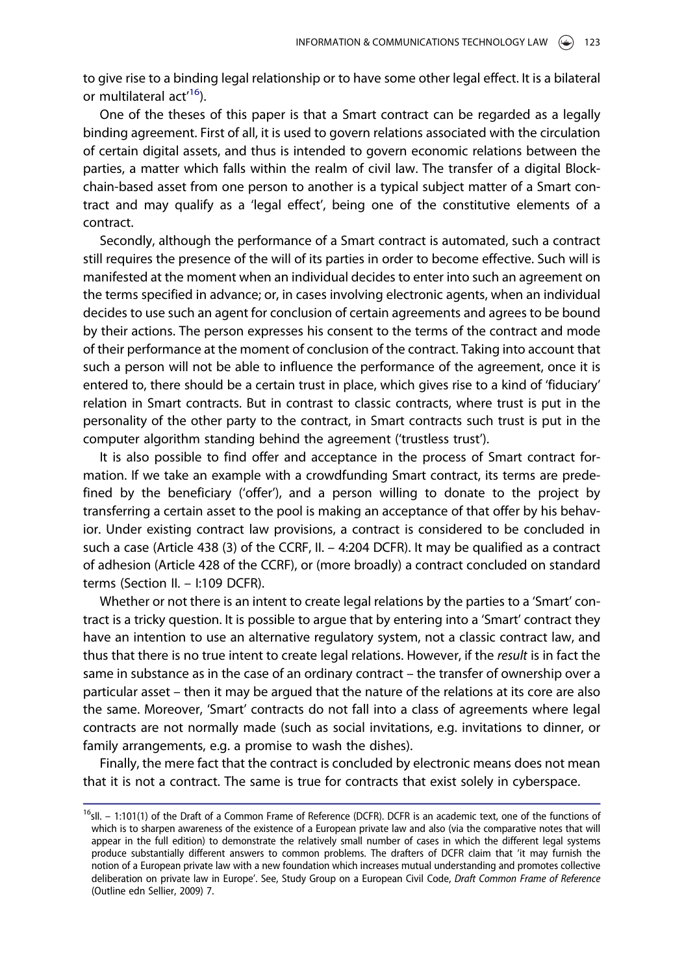to give rise to a binding legal relationship or to have some other legal effect. It is a bilateral or multilateral act<sup>'16</sup>).

One of the theses of this paper is that a Smart contract can be regarded as a legally binding agreement. First of all, it is used to govern relations associated with the circulation of certain digital assets, and thus is intended to govern economic relations between the parties, a matter which falls within the realm of civil law. The transfer of a digital Blockchain-based asset from one person to another is a typical subject matter of a Smart contract and may qualify as a 'legal effect', being one of the constitutive elements of a contract.

Secondly, although the performance of a Smart contract is automated, such a contract still requires the presence of the will of its parties in order to become effective. Such will is manifested at the moment when an individual decides to enter into such an agreement on the terms specified in advance; or, in cases involving electronic agents, when an individual decides to use such an agent for conclusion of certain agreements and agrees to be bound by their actions. The person expresses his consent to the terms of the contract and mode of their performance at the moment of conclusion of the contract. Taking into account that such a person will not be able to influence the performance of the agreement, once it is entered to, there should be a certain trust in place, which gives rise to a kind of 'fiduciary' relation in Smart contracts. But in contrast to classic contracts, where trust is put in the personality of the other party to the contract, in Smart contracts such trust is put in the computer algorithm standing behind the agreement ('trustless trust').

It is also possible to find offer and acceptance in the process of Smart contract formation. If we take an example with a crowdfunding Smart contract, its terms are predefined by the beneficiary ('offer'), and a person willing to donate to the project by transferring a certain asset to the pool is making an acceptance of that offer by his behavior. Under existing contract law provisions, a contract is considered to be concluded in such a case (Article 438 (3) of the CCRF, II. – 4:204 DCFR). It may be qualified as a contract of adhesion (Article 428 of the CCRF), or (more broadly) a contract concluded on standard terms (Section II. – I:109 DCFR).

Whether or not there is an intent to create legal relations by the parties to a 'Smart' contract is a tricky question. It is possible to argue that by entering into a 'Smart' contract they have an intention to use an alternative regulatory system, not a classic contract law, and thus that there is no true intent to create legal relations. However, if the result is in fact the same in substance as in the case of an ordinary contract – the transfer of ownership over a particular asset – then it may be argued that the nature of the relations at its core are also the same. Moreover, 'Smart' contracts do not fall into a class of agreements where legal contracts are not normally made (such as social invitations, e.g. invitations to dinner, or family arrangements, e.g. a promise to wash the dishes).

Finally, the mere fact that the contract is concluded by electronic means does not mean that it is not a contract. The same is true for contracts that exist solely in cyberspace.

<sup>&</sup>lt;sup>16</sup>sll. - 1:101(1) of the Draft of a Common Frame of Reference (DCFR). DCFR is an academic text, one of the functions of which is to sharpen awareness of the existence of a European private law and also (via the comparative notes that will appear in the full edition) to demonstrate the relatively small number of cases in which the different legal systems produce substantially different answers to common problems. The drafters of DCFR claim that 'it may furnish the notion of a European private law with a new foundation which increases mutual understanding and promotes collective deliberation on private law in Europe'. See, Study Group on a European Civil Code, Draft Common Frame of Reference (Outline edn Sellier, 2009) 7.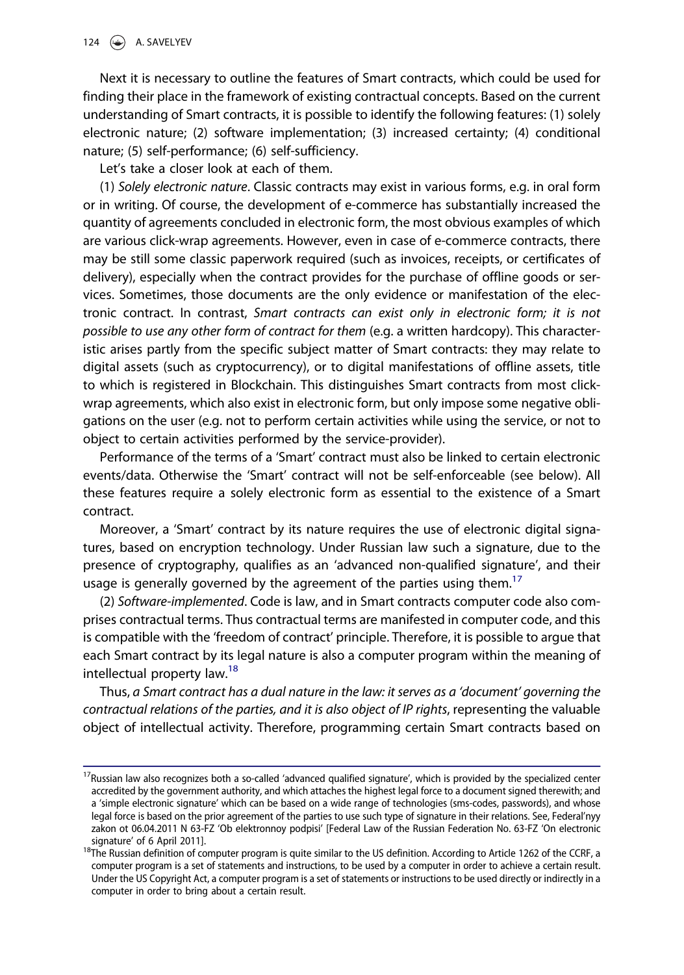Next it is necessary to outline the features of Smart contracts, which could be used for finding their place in the framework of existing contractual concepts. Based on the current understanding of Smart contracts, it is possible to identify the following features: (1) solely electronic nature; (2) software implementation; (3) increased certainty; (4) conditional nature; (5) self-performance; (6) self-sufficiency.

Let's take a closer look at each of them.

(1) Solely electronic nature. Classic contracts may exist in various forms, e.g. in oral form or in writing. Of course, the development of e-commerce has substantially increased the quantity of agreements concluded in electronic form, the most obvious examples of which are various click-wrap agreements. However, even in case of e-commerce contracts, there may be still some classic paperwork required (such as invoices, receipts, or certificates of delivery), especially when the contract provides for the purchase of offline goods or services. Sometimes, those documents are the only evidence or manifestation of the electronic contract. In contrast, Smart contracts can exist only in electronic form; it is not possible to use any other form of contract for them (e.g. a written hardcopy). This characteristic arises partly from the specific subject matter of Smart contracts: they may relate to digital assets (such as cryptocurrency), or to digital manifestations of offline assets, title to which is registered in Blockchain. This distinguishes Smart contracts from most clickwrap agreements, which also exist in electronic form, but only impose some negative obligations on the user (e.g. not to perform certain activities while using the service, or not to object to certain activities performed by the service-provider).

Performance of the terms of a 'Smart' contract must also be linked to certain electronic events/data. Otherwise the 'Smart' contract will not be self-enforceable (see below). All these features require a solely electronic form as essential to the existence of a Smart contract.

Moreover, a 'Smart' contract by its nature requires the use of electronic digital signatures, based on encryption technology. Under Russian law such a signature, due to the presence of cryptography, qualifies as an 'advanced non-qualified signature', and their usage is generally governed by the agreement of the parties using them.<sup>17</sup>

(2) Software-implemented. Code is law, and in Smart contracts computer code also comprises contractual terms. Thus contractual terms are manifested in computer code, and this is compatible with the 'freedom of contract' principle. Therefore, it is possible to argue that each Smart contract by its legal nature is also a computer program within the meaning of intellectual property law.<sup>18</sup>

Thus, a Smart contract has a dual nature in the law: it serves as a 'document' governing the contractual relations of the parties, and it is also object of IP rights, representing the valuable object of intellectual activity. Therefore, programming certain Smart contracts based on

 $17$ Russian law also recognizes both a so-called 'advanced qualified signature', which is provided by the specialized center accredited by the government authority, and which attaches the highest legal force to a document signed therewith; and a 'simple electronic signature' which can be based on a wide range of technologies (sms-codes, passwords), and whose legal force is based on the prior agreement of the parties to use such type of signature in their relations. See, Federal'nyy zakon ot 06.04.2011 N 63-FZ 'Ob elektronnoy podpisi' [Federal Law of the Russian Federation No. 63-FZ 'On electronic

signature' of 6 April 2011].<br><sup>18</sup>The Russian definition of computer program is quite similar to the US definition. According to Article 1262 of the CCRF, a computer program is a set of statements and instructions, to be used by a computer in order to achieve a certain result. Under the US Copyright Act, a computer program is a set of statements or instructions to be used directly or indirectly in a computer in order to bring about a certain result.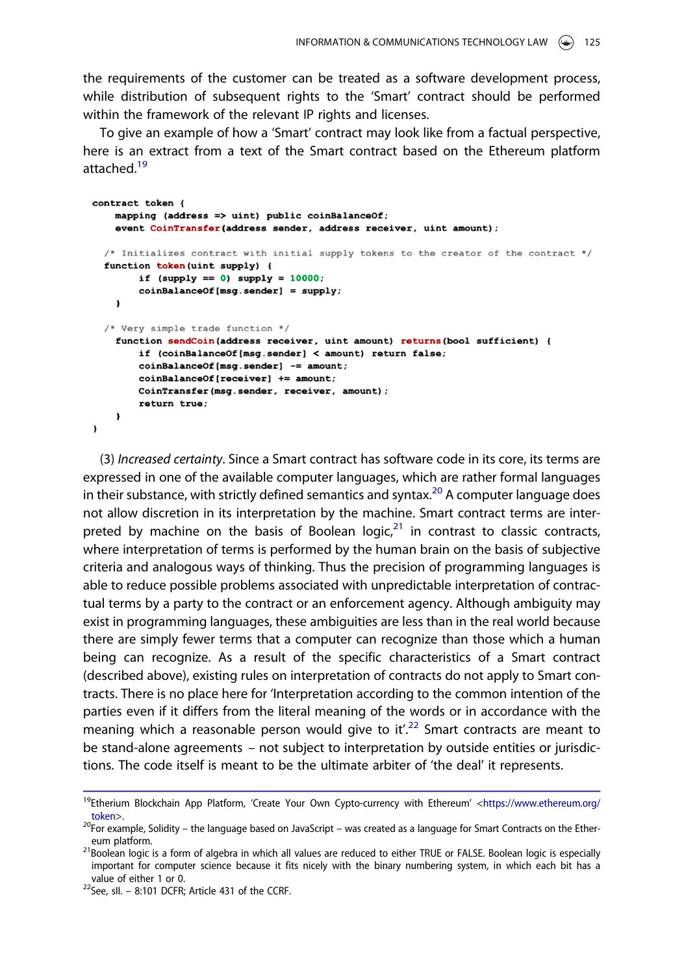the requirements of the customer can be treated as a software development process, while distribution of subsequent rights to the 'Smart' contract should be performed within the framework of the relevant IP rights and licenses.

To give an example of how a 'Smart' contract may look like from a factual perspective, here is an extract from a text of the Smart contract based on the Ethereum platform attached.<sup>19</sup>

```
contract token {
  mapping (address \Rightarrow uint) public coinBalanceOf;
  event CoinTransfer(address sender, address receiver, uint amount);
/* Initializes contract with initial supply tokens to the creator of the contract */
function token (uint supply) {
      if (supply == 0) supply = 10000;
      coinBalanceOf(msg.sender) = supply;\mathbf{I}/* Very simple trade function */
  function sendCoin(address receiver, uint amount) returns (bool sufficient) {
      if (coinBalanceOf[msg.sender] < amount) return false;
      coinBalanceOf[msg.sender] -= amount;
      coinBalanceOf[receiver] += amount;
      CoinTransfer(msg.sender, receiver, amount);
      return true;
  \mathbf{r}\mathbf{r}
```
(3) Increased certainty. Since a Smart contract has software code in its core, its terms are expressed in one of the available computer languages, which are rather formal languages in their substance, with strictly defined semantics and syntax.<sup>20</sup> A computer language does not allow discretion in its interpretation by the machine. Smart contract terms are interpreted by machine on the basis of Boolean logic, $21$  in contrast to classic contracts, where interpretation of terms is performed by the human brain on the basis of subjective criteria and analogous ways of thinking. Thus the precision of programming languages is able to reduce possible problems associated with unpredictable interpretation of contractual terms by a party to the contract or an enforcement agency. Although ambiguity may exist in programming languages, these ambiguities are less than in the real world because there are simply fewer terms that a computer can recognize than those which a human being can recognize. As a result of the specific characteristics of a Smart contract (described above), existing rules on interpretation of contracts do not apply to Smart contracts. There is no place here for 'Interpretation according to the common intention of the parties even if it differs from the literal meaning of the words or in accordance with the meaning which a reasonable person would give to it'.<sup>22</sup> Smart contracts are meant to be stand-alone agreements – not subject to interpretation by outside entities or jurisdictions. The code itself is meant to be the ultimate arbiter of 'the deal' it represents.

<sup>&</sup>lt;sup>19</sup>Etherium Blockchain App Platform, 'Create Your Own Cypto-currency with Ethereum' <[https://www.ethereum.org/](http://www.ethereum.org/token) [token](http://www.ethereum.org/token)>.<br><sup>20</sup>For example, Solidity – the language based on JavaScript – was created as a language for Smart Contracts on the Ether-

eum platform.<br><sup>21</sup>Boolean logic is a form of algebra in which all values are reduced to either TRUE or FALSE. Boolean logic is especially

important for computer science because it fits nicely with the binary numbering system, in which each bit has a value of either 1 or 0.<br><sup>22</sup>See, sll. – 8:101 DCFR; Article 431 of the CCRF.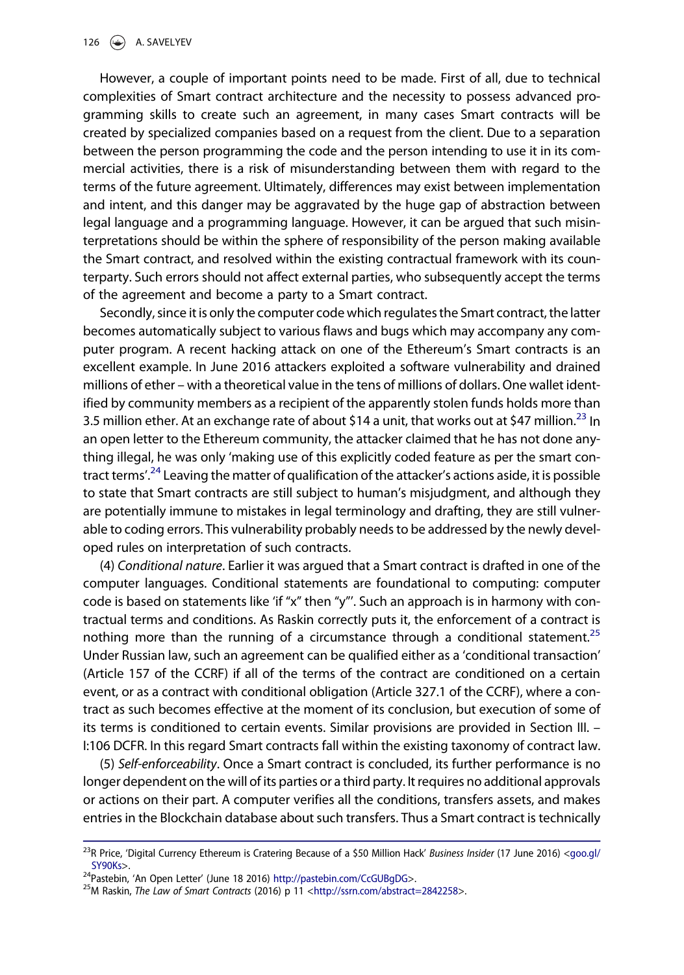However, a couple of important points need to be made. First of all, due to technical complexities of Smart contract architecture and the necessity to possess advanced programming skills to create such an agreement, in many cases Smart contracts will be created by specialized companies based on a request from the client. Due to a separation between the person programming the code and the person intending to use it in its commercial activities, there is a risk of misunderstanding between them with regard to the terms of the future agreement. Ultimately, differences may exist between implementation and intent, and this danger may be aggravated by the huge gap of abstraction between legal language and a programming language. However, it can be argued that such misinterpretations should be within the sphere of responsibility of the person making available the Smart contract, and resolved within the existing contractual framework with its counterparty. Such errors should not affect external parties, who subsequently accept the terms of the agreement and become a party to a Smart contract.

Secondly, since it is only the computer code which regulates the Smart contract, the latter becomes automatically subject to various flaws and bugs which may accompany any computer program. A recent hacking attack on one of the Ethereum's Smart contracts is an excellent example. In June 2016 attackers exploited a software vulnerability and drained millions of ether – with a theoretical value in the tens of millions of dollars. One wallet identified by community members as a recipient of the apparently stolen funds holds more than 3.5 million ether. At an exchange rate of about \$14 a unit, that works out at \$47 million.<sup>23</sup> In an open letter to the Ethereum community, the attacker claimed that he has not done anything illegal, he was only 'making use of this explicitly coded feature as per the smart contract terms'.<sup>24</sup> Leaving the matter of qualification of the attacker's actions aside, it is possible to state that Smart contracts are still subject to human's misjudgment, and although they are potentially immune to mistakes in legal terminology and drafting, they are still vulnerable to coding errors. This vulnerability probably needs to be addressed by the newly developed rules on interpretation of such contracts.

(4) Conditional nature. Earlier it was argued that a Smart contract is drafted in one of the computer languages. Conditional statements are foundational to computing: computer code is based on statements like 'if "x" then "y"'. Such an approach is in harmony with contractual terms and conditions. As Raskin correctly puts it, the enforcement of a contract is nothing more than the running of a circumstance through a conditional statement.<sup>25</sup> Under Russian law, such an agreement can be qualified either as a 'conditional transaction' (Article 157 of the CCRF) if all of the terms of the contract are conditioned on a certain event, or as a contract with conditional obligation (Article 327.1 of the CCRF), where a contract as such becomes effective at the moment of its conclusion, but execution of some of its terms is conditioned to certain events. Similar provisions are provided in Section III. – I:106 DCFR. In this regard Smart contracts fall within the existing taxonomy of contract law.

(5) Self-enforceability. Once a Smart contract is concluded, its further performance is no longer dependent on the will of its parties or a third party. It requires no additional approvals or actions on their part. A computer verifies all the conditions, transfers assets, and makes entries in the Blockchain database about such transfers. Thus a Smart contract is technically

<sup>&</sup>lt;sup>23</sup>R Price, 'Digital Currency Ethereum is Cratering Because of a \$50 Million Hack' Business Insider (17 June 2016) [<goo.gl/](http://goo.gl/SY90Ks)<br>SY90Ks>.

<sup>&</sup>lt;sup>24</sup>Pastebin, 'An Open Letter' (June 18 2016) <http://pastebin.com/CcGUBgDG>>.<br><sup>25</sup>M Raskin, *The Law of Smart Contracts* (2016) p 11 [<http://ssrn.com/abstract=2842258](http://ssrn.com/abstract=2842258)>.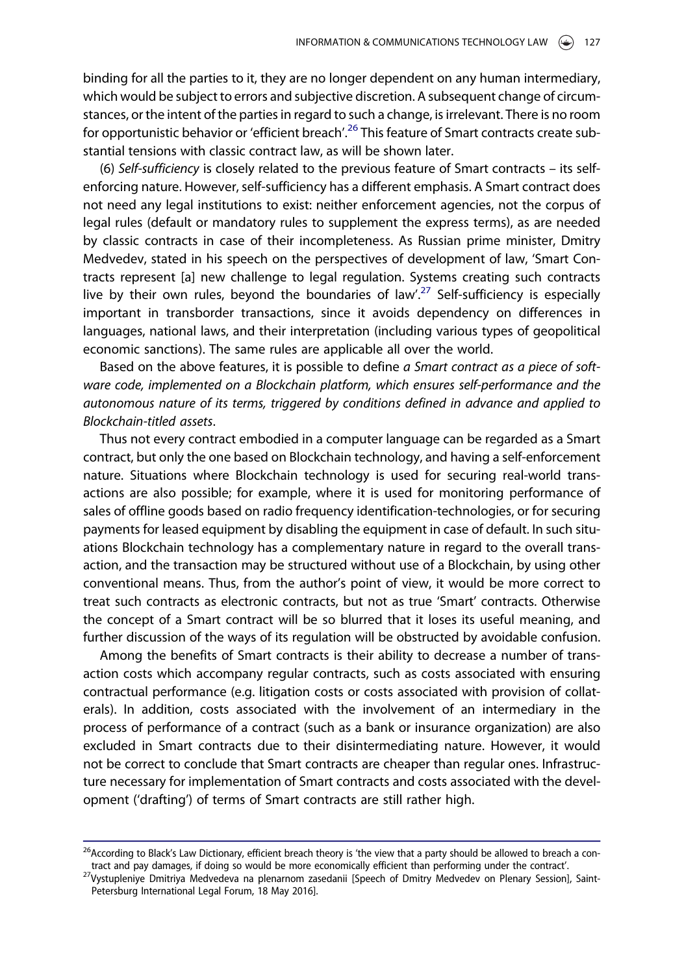binding for all the parties to it, they are no longer dependent on any human intermediary, which would be subject to errors and subjective discretion. A subsequent change of circumstances, or the intent of the parties in regard to such a change, is irrelevant. There is no room for opportunistic behavior or 'efficient breach'.<sup>26</sup> This feature of Smart contracts create substantial tensions with classic contract law, as will be shown later.

(6) Self-sufficiency is closely related to the previous feature of Smart contracts – its selfenforcing nature. However, self-sufficiency has a different emphasis. A Smart contract does not need any legal institutions to exist: neither enforcement agencies, not the corpus of legal rules (default or mandatory rules to supplement the express terms), as are needed by classic contracts in case of their incompleteness. As Russian prime minister, Dmitry Medvedev, stated in his speech on the perspectives of development of law, 'Smart Contracts represent [a] new challenge to legal regulation. Systems creating such contracts live by their own rules, beyond the boundaries of law'.<sup>27</sup> Self-sufficiency is especially important in transborder transactions, since it avoids dependency on differences in languages, national laws, and their interpretation (including various types of geopolitical economic sanctions). The same rules are applicable all over the world.

Based on the above features, it is possible to define a Smart contract as a piece of software code, implemented on a Blockchain platform, which ensures self-performance and the autonomous nature of its terms, triggered by conditions defined in advance and applied to Blockchain-titled assets.

Thus not every contract embodied in a computer language can be regarded as a Smart contract, but only the one based on Blockchain technology, and having a self-enforcement nature. Situations where Blockchain technology is used for securing real-world transactions are also possible; for example, where it is used for monitoring performance of sales of offline goods based on radio frequency identification-technologies, or for securing payments for leased equipment by disabling the equipment in case of default. In such situations Blockchain technology has a complementary nature in regard to the overall transaction, and the transaction may be structured without use of a Blockchain, by using other conventional means. Thus, from the author's point of view, it would be more correct to treat such contracts as electronic contracts, but not as true 'Smart' contracts. Otherwise the concept of a Smart contract will be so blurred that it loses its useful meaning, and further discussion of the ways of its regulation will be obstructed by avoidable confusion.

Among the benefits of Smart contracts is their ability to decrease a number of transaction costs which accompany regular contracts, such as costs associated with ensuring contractual performance (e.g. litigation costs or costs associated with provision of collaterals). In addition, costs associated with the involvement of an intermediary in the process of performance of a contract (such as a bank or insurance organization) are also excluded in Smart contracts due to their disintermediating nature. However, it would not be correct to conclude that Smart contracts are cheaper than regular ones. Infrastructure necessary for implementation of Smart contracts and costs associated with the development ('drafting') of terms of Smart contracts are still rather high.

<sup>&</sup>lt;sup>26</sup> According to Black's Law Dictionary, efficient breach theory is 'the view that a party should be allowed to breach a contract and pay damages, if doing so would be more economically efficient than performing under the contract'.<br><sup>27</sup>Vystupleniye Dmitriya Medvedeva na plenarnom zasedanii [Speech of Dmitry Medvedev on Plenary Session], Saint-

Petersburg International Legal Forum, 18 May 2016].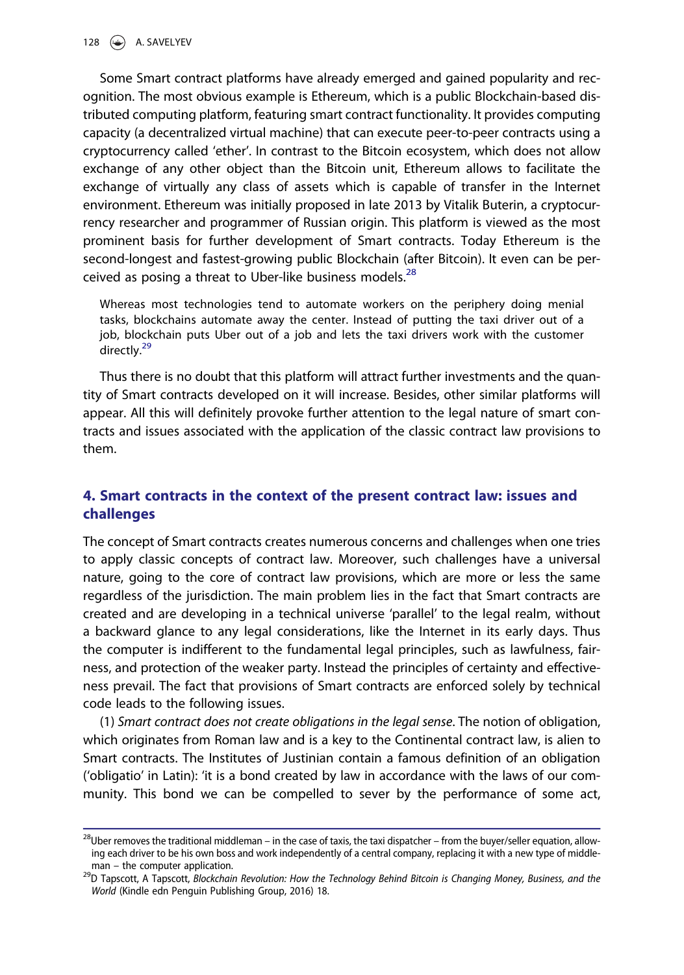Some Smart contract platforms have already emerged and gained popularity and recognition. The most obvious example is Ethereum, which is a public Blockchain-based distributed computing platform, featuring smart contract functionality. It provides computing capacity (a decentralized virtual machine) that can execute peer-to-peer contracts using a cryptocurrency called 'ether'. In contrast to the Bitcoin ecosystem, which does not allow exchange of any other object than the Bitcoin unit, Ethereum allows to facilitate the exchange of virtually any class of assets which is capable of transfer in the Internet environment. Ethereum was initially proposed in late 2013 by Vitalik Buterin, a cryptocurrency researcher and programmer of Russian origin. This platform is viewed as the most prominent basis for further development of Smart contracts. Today Ethereum is the second-longest and fastest-growing public Blockchain (after Bitcoin). It even can be perceived as posing a threat to Uber-like business models. $^{28}$ 

Whereas most technologies tend to automate workers on the periphery doing menial tasks, blockchains automate away the center. Instead of putting the taxi driver out of a job, blockchain puts Uber out of a job and lets the taxi drivers work with the customer directly.<sup>29</sup>

Thus there is no doubt that this platform will attract further investments and the quantity of Smart contracts developed on it will increase. Besides, other similar platforms will appear. All this will definitely provoke further attention to the legal nature of smart contracts and issues associated with the application of the classic contract law provisions to them.

## 4. Smart contracts in the context of the present contract law: issues and challenges

The concept of Smart contracts creates numerous concerns and challenges when one tries to apply classic concepts of contract law. Moreover, such challenges have a universal nature, going to the core of contract law provisions, which are more or less the same regardless of the jurisdiction. The main problem lies in the fact that Smart contracts are created and are developing in a technical universe 'parallel' to the legal realm, without a backward glance to any legal considerations, like the Internet in its early days. Thus the computer is indifferent to the fundamental legal principles, such as lawfulness, fairness, and protection of the weaker party. Instead the principles of certainty and effectiveness prevail. The fact that provisions of Smart contracts are enforced solely by technical code leads to the following issues.

(1) Smart contract does not create obligations in the legal sense. The notion of obligation, which originates from Roman law and is a key to the Continental contract law, is alien to Smart contracts. The Institutes of Justinian contain a famous definition of an obligation ('obligatio' in Latin): 'it is a bond created by law in accordance with the laws of our community. This bond we can be compelled to sever by the performance of some act,

 $^{28}$ Uber removes the traditional middleman – in the case of taxis, the taxi dispatcher – from the buyer/seller equation, allowing each driver to be his own boss and work independently of a central company, replacing it with a new type of middle-

man – the computer application.<br><sup>29</sup>D Tapscott, A Tapscott, *Blockchain Revolution: How the Technology Behind Bitcoin is Changing Money, Business, and the* World (Kindle edn Penguin Publishing Group, 2016) 18.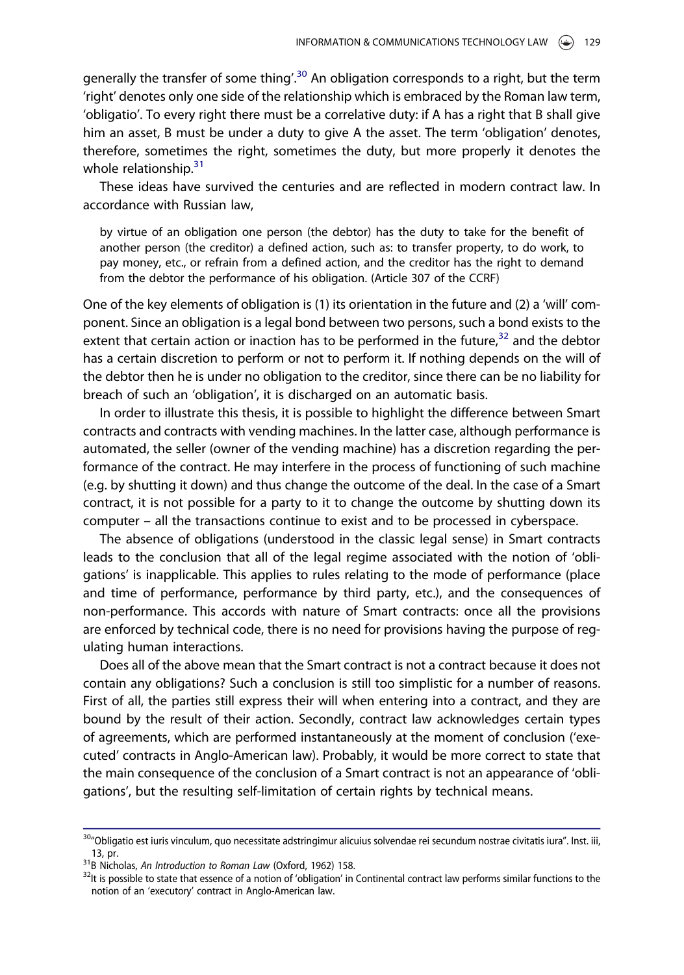generally the transfer of some thing'.<sup>30</sup> An obligation corresponds to a right, but the term 'right' denotes only one side of the relationship which is embraced by the Roman law term, 'obligatio'. To every right there must be a correlative duty: if A has a right that B shall give him an asset, B must be under a duty to give A the asset. The term 'obligation' denotes, therefore, sometimes the right, sometimes the duty, but more properly it denotes the whole relationship. $31$ 

These ideas have survived the centuries and are reflected in modern contract law. In accordance with Russian law,

by virtue of an obligation one person (the debtor) has the duty to take for the benefit of another person (the creditor) a defined action, such as: to transfer property, to do work, to pay money, etc., or refrain from a defined action, and the creditor has the right to demand from the debtor the performance of his obligation. (Article 307 of the CCRF)

One of the key elements of obligation is (1) its orientation in the future and (2) a 'will' component. Since an obligation is a legal bond between two persons, such a bond exists to the extent that certain action or inaction has to be performed in the future, $32$  and the debtor has a certain discretion to perform or not to perform it. If nothing depends on the will of the debtor then he is under no obligation to the creditor, since there can be no liability for breach of such an 'obligation', it is discharged on an automatic basis.

In order to illustrate this thesis, it is possible to highlight the difference between Smart contracts and contracts with vending machines. In the latter case, although performance is automated, the seller (owner of the vending machine) has a discretion regarding the performance of the contract. He may interfere in the process of functioning of such machine (e.g. by shutting it down) and thus change the outcome of the deal. In the case of a Smart contract, it is not possible for a party to it to change the outcome by shutting down its computer – all the transactions continue to exist and to be processed in cyberspace.

The absence of obligations (understood in the classic legal sense) in Smart contracts leads to the conclusion that all of the legal regime associated with the notion of 'obligations' is inapplicable. This applies to rules relating to the mode of performance (place and time of performance, performance by third party, etc.), and the consequences of non-performance. This accords with nature of Smart contracts: once all the provisions are enforced by technical code, there is no need for provisions having the purpose of regulating human interactions.

Does all of the above mean that the Smart contract is not a contract because it does not contain any obligations? Such a conclusion is still too simplistic for a number of reasons. First of all, the parties still express their will when entering into a contract, and they are bound by the result of their action. Secondly, contract law acknowledges certain types of agreements, which are performed instantaneously at the moment of conclusion ('executed' contracts in Anglo-American law). Probably, it would be more correct to state that the main consequence of the conclusion of a Smart contract is not an appearance of 'obligations', but the resulting self-limitation of certain rights by technical means.

<sup>&</sup>lt;sup>30</sup>"Obligatio est iuris vinculum, quo necessitate adstringimur alicuius solvendae rei secundum nostrae civitatis iura". Inst. iii, 13, pr.<br><sup>31</sup>B Nicholas, *An Introduction to Roman Law* (Oxford, 1962) 158.<br><sup>32</sup>It is possible to state that essence of a notion of 'obligation' in Continental contract law performs similar functions to the

notion of an 'executory' contract in Anglo-American law.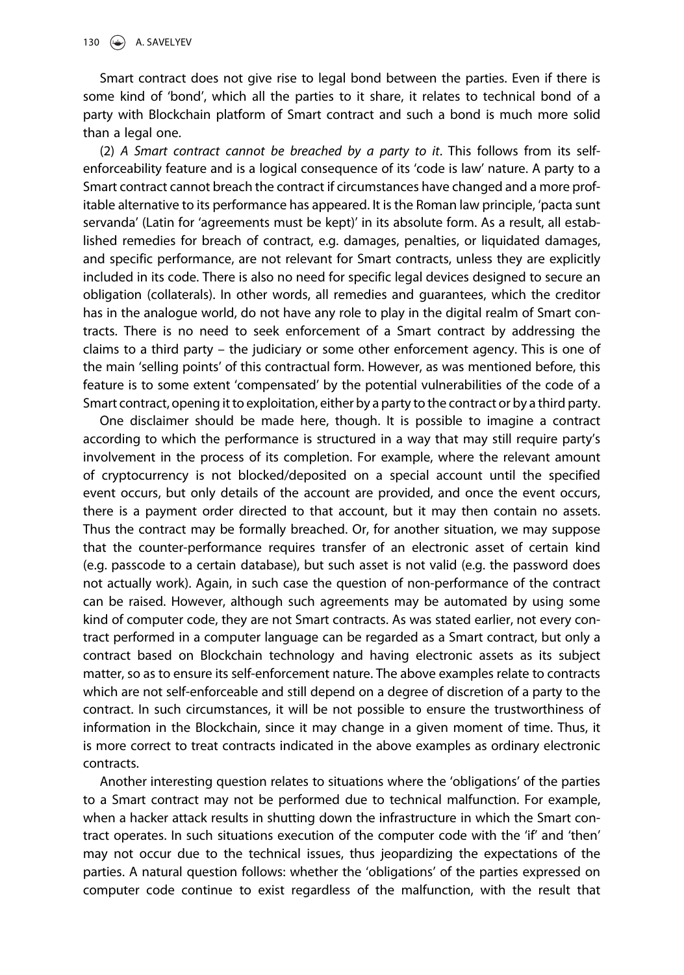Smart contract does not give rise to legal bond between the parties. Even if there is some kind of 'bond', which all the parties to it share, it relates to technical bond of a party with Blockchain platform of Smart contract and such a bond is much more solid than a legal one.

(2) A Smart contract cannot be breached by a party to it. This follows from its selfenforceability feature and is a logical consequence of its 'code is law' nature. A party to a Smart contract cannot breach the contract if circumstances have changed and a more profitable alternative to its performance has appeared. It is the Roman law principle, 'pacta sunt servanda' (Latin for 'agreements must be kept)' in its absolute form. As a result, all established remedies for breach of contract, e.g. damages, penalties, or liquidated damages, and specific performance, are not relevant for Smart contracts, unless they are explicitly included in its code. There is also no need for specific legal devices designed to secure an obligation (collaterals). In other words, all remedies and guarantees, which the creditor has in the analogue world, do not have any role to play in the digital realm of Smart contracts. There is no need to seek enforcement of a Smart contract by addressing the claims to a third party – the judiciary or some other enforcement agency. This is one of the main 'selling points' of this contractual form. However, as was mentioned before, this feature is to some extent 'compensated' by the potential vulnerabilities of the code of a Smart contract, opening it to exploitation, either by a party to the contract or by a third party.

One disclaimer should be made here, though. It is possible to imagine a contract according to which the performance is structured in a way that may still require party's involvement in the process of its completion. For example, where the relevant amount of cryptocurrency is not blocked/deposited on a special account until the specified event occurs, but only details of the account are provided, and once the event occurs, there is a payment order directed to that account, but it may then contain no assets. Thus the contract may be formally breached. Or, for another situation, we may suppose that the counter-performance requires transfer of an electronic asset of certain kind (e.g. passcode to a certain database), but such asset is not valid (e.g. the password does not actually work). Again, in such case the question of non-performance of the contract can be raised. However, although such agreements may be automated by using some kind of computer code, they are not Smart contracts. As was stated earlier, not every contract performed in a computer language can be regarded as a Smart contract, but only a contract based on Blockchain technology and having electronic assets as its subject matter, so as to ensure its self-enforcement nature. The above examples relate to contracts which are not self-enforceable and still depend on a degree of discretion of a party to the contract. In such circumstances, it will be not possible to ensure the trustworthiness of information in the Blockchain, since it may change in a given moment of time. Thus, it is more correct to treat contracts indicated in the above examples as ordinary electronic contracts.

Another interesting question relates to situations where the 'obligations' of the parties to a Smart contract may not be performed due to technical malfunction. For example, when a hacker attack results in shutting down the infrastructure in which the Smart contract operates. In such situations execution of the computer code with the 'if' and 'then' may not occur due to the technical issues, thus jeopardizing the expectations of the parties. A natural question follows: whether the 'obligations' of the parties expressed on computer code continue to exist regardless of the malfunction, with the result that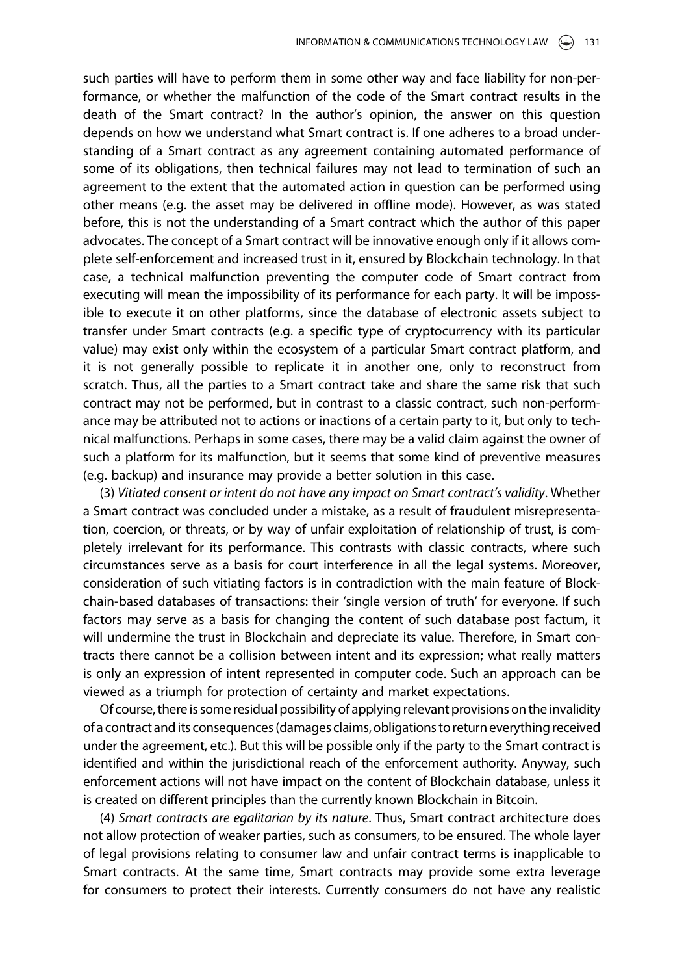such parties will have to perform them in some other way and face liability for non-performance, or whether the malfunction of the code of the Smart contract results in the death of the Smart contract? In the author's opinion, the answer on this question depends on how we understand what Smart contract is. If one adheres to a broad understanding of a Smart contract as any agreement containing automated performance of some of its obligations, then technical failures may not lead to termination of such an agreement to the extent that the automated action in question can be performed using other means (e.g. the asset may be delivered in offline mode). However, as was stated before, this is not the understanding of a Smart contract which the author of this paper advocates. The concept of a Smart contract will be innovative enough only if it allows complete self-enforcement and increased trust in it, ensured by Blockchain technology. In that case, a technical malfunction preventing the computer code of Smart contract from executing will mean the impossibility of its performance for each party. It will be impossible to execute it on other platforms, since the database of electronic assets subject to transfer under Smart contracts (e.g. a specific type of cryptocurrency with its particular value) may exist only within the ecosystem of a particular Smart contract platform, and it is not generally possible to replicate it in another one, only to reconstruct from scratch. Thus, all the parties to a Smart contract take and share the same risk that such contract may not be performed, but in contrast to a classic contract, such non-performance may be attributed not to actions or inactions of a certain party to it, but only to technical malfunctions. Perhaps in some cases, there may be a valid claim against the owner of such a platform for its malfunction, but it seems that some kind of preventive measures (e.g. backup) and insurance may provide a better solution in this case.

(3) Vitiated consent or intent do not have any impact on Smart contract's validity. Whether a Smart contract was concluded under a mistake, as a result of fraudulent misrepresentation, coercion, or threats, or by way of unfair exploitation of relationship of trust, is completely irrelevant for its performance. This contrasts with classic contracts, where such circumstances serve as a basis for court interference in all the legal systems. Moreover, consideration of such vitiating factors is in contradiction with the main feature of Blockchain-based databases of transactions: their 'single version of truth' for everyone. If such factors may serve as a basis for changing the content of such database post factum, it will undermine the trust in Blockchain and depreciate its value. Therefore, in Smart contracts there cannot be a collision between intent and its expression; what really matters is only an expression of intent represented in computer code. Such an approach can be viewed as a triumph for protection of certainty and market expectations.

Of course, there is some residual possibility of applying relevant provisions on the invalidity of a contract and its consequences(damages claims, obligations to return everything received under the agreement, etc.). But this will be possible only if the party to the Smart contract is identified and within the jurisdictional reach of the enforcement authority. Anyway, such enforcement actions will not have impact on the content of Blockchain database, unless it is created on different principles than the currently known Blockchain in Bitcoin.

(4) Smart contracts are egalitarian by its nature. Thus, Smart contract architecture does not allow protection of weaker parties, such as consumers, to be ensured. The whole layer of legal provisions relating to consumer law and unfair contract terms is inapplicable to Smart contracts. At the same time, Smart contracts may provide some extra leverage for consumers to protect their interests. Currently consumers do not have any realistic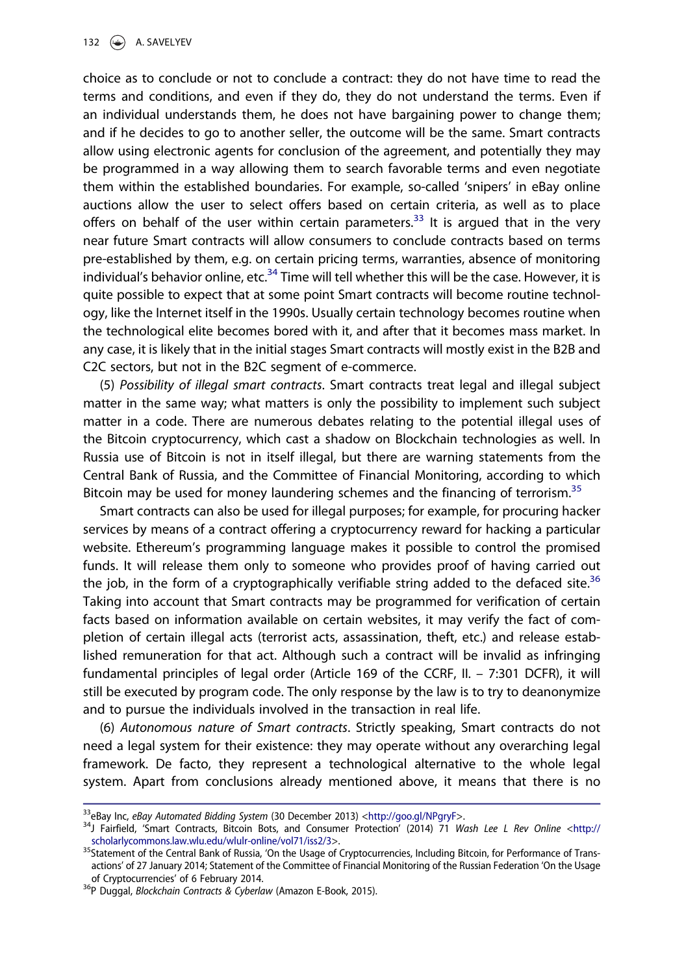choice as to conclude or not to conclude a contract: they do not have time to read the terms and conditions, and even if they do, they do not understand the terms. Even if an individual understands them, he does not have bargaining power to change them; and if he decides to go to another seller, the outcome will be the same. Smart contracts allow using electronic agents for conclusion of the agreement, and potentially they may be programmed in a way allowing them to search favorable terms and even negotiate them within the established boundaries. For example, so-called 'snipers' in eBay online auctions allow the user to select offers based on certain criteria, as well as to place offers on behalf of the user within certain parameters.<sup>33</sup> It is argued that in the very near future Smart contracts will allow consumers to conclude contracts based on terms pre-established by them, e.g. on certain pricing terms, warranties, absence of monitoring individual's behavior online, etc. $34$  Time will tell whether this will be the case. However, it is quite possible to expect that at some point Smart contracts will become routine technology, like the Internet itself in the 1990s. Usually certain technology becomes routine when the technological elite becomes bored with it, and after that it becomes mass market. In any case, it is likely that in the initial stages Smart contracts will mostly exist in the B2B and C2C sectors, but not in the B2C segment of e-commerce.

(5) Possibility of illegal smart contracts. Smart contracts treat legal and illegal subject matter in the same way; what matters is only the possibility to implement such subject matter in a code. There are numerous debates relating to the potential illegal uses of the Bitcoin cryptocurrency, which cast a shadow on Blockchain technologies as well. In Russia use of Bitcoin is not in itself illegal, but there are warning statements from the Central Bank of Russia, and the Committee of Financial Monitoring, according to which Bitcoin may be used for money laundering schemes and the financing of terrorism.<sup>35</sup>

Smart contracts can also be used for illegal purposes; for example, for procuring hacker services by means of a contract offering a cryptocurrency reward for hacking a particular website. Ethereum's programming language makes it possible to control the promised funds. It will release them only to someone who provides proof of having carried out the job, in the form of a cryptographically verifiable string added to the defaced site.<sup>36</sup> Taking into account that Smart contracts may be programmed for verification of certain facts based on information available on certain websites, it may verify the fact of completion of certain illegal acts (terrorist acts, assassination, theft, etc.) and release established remuneration for that act. Although such a contract will be invalid as infringing fundamental principles of legal order (Article 169 of the CCRF, II. – 7:301 DCFR), it will still be executed by program code. The only response by the law is to try to deanonymize and to pursue the individuals involved in the transaction in real life.

(6) Autonomous nature of Smart contracts. Strictly speaking, Smart contracts do not need a legal system for their existence: they may operate without any overarching legal framework. De facto, they represent a technological alternative to the whole legal system. Apart from conclusions already mentioned above, it means that there is no

<sup>&</sup>lt;sup>33</sup>eBay Inc, eBay Automated Bidding System (30 December 2013) <<http://goo.gl/NPgryF>>.<br><sup>34</sup>J Fairfield, 'Smart Contracts, Bitcoin Bots, and Consumer Protection' (2014) 71 Wash Lee L Rev Online <[http://](http://scholarlycommons.law.wlu.edu/wlulr-online/vol71/iss2/3) [scholarlycommons.law.wlu.edu/wlulr-online/vol71/iss2/3](http://scholarlycommons.law.wlu.edu/wlulr-online/vol71/iss2/3)>. 35Statement of the Central Bank of Russia, 'On the Usage of Cryptocurrencies, Including Bitcoin, for Performance of Trans-

actions' of 27 January 2014; Statement of the Committee of Financial Monitoring of the Russian Federation 'On the Usage of Cryptocurrencies' of 6 February 2014.

<sup>&</sup>lt;sup>36</sup>P Duggal, Blockchain Contracts & Cyberlaw (Amazon E-Book, 2015).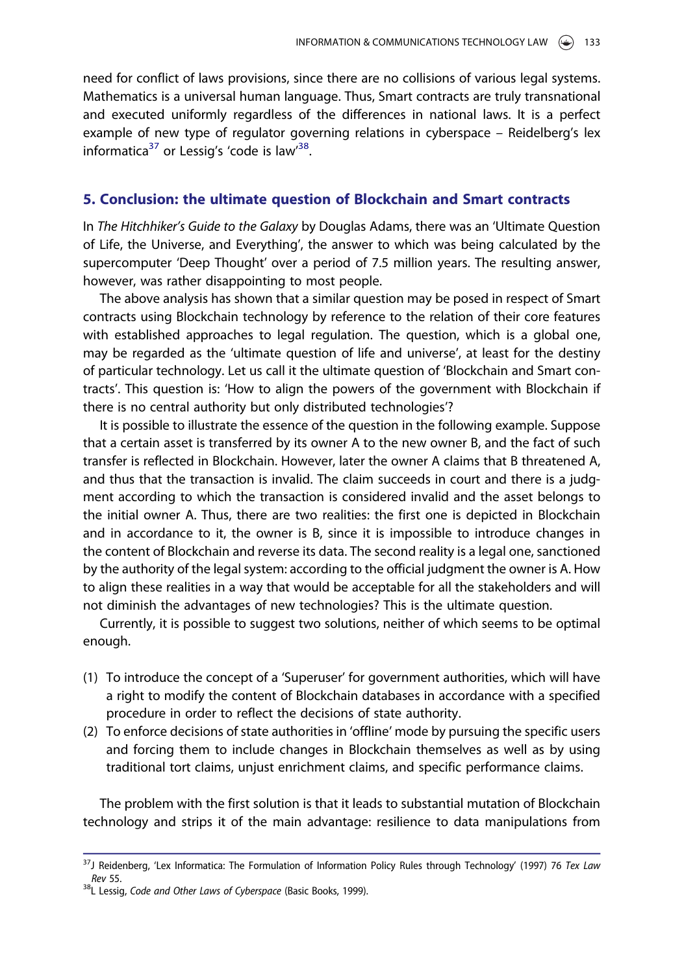need for conflict of laws provisions, since there are no collisions of various legal systems. Mathematics is a universal human language. Thus, Smart contracts are truly transnational and executed uniformly regardless of the differences in national laws. It is a perfect example of new type of regulator governing relations in cyberspace – Reidelberg's lex informatica<sup>37</sup> or Lessig's 'code is law<sup>38</sup>.

#### 5. Conclusion: the ultimate question of Blockchain and Smart contracts

In The Hitchhiker's Guide to the Galaxy by Douglas Adams, there was an 'Ultimate Question of Life, the Universe, and Everything', the answer to which was being calculated by the supercomputer 'Deep Thought' over a period of 7.5 million years. The resulting answer, however, was rather disappointing to most people.

The above analysis has shown that a similar question may be posed in respect of Smart contracts using Blockchain technology by reference to the relation of their core features with established approaches to legal regulation. The question, which is a global one, may be regarded as the 'ultimate question of life and universe', at least for the destiny of particular technology. Let us call it the ultimate question of 'Blockchain and Smart contracts'. This question is: 'How to align the powers of the government with Blockchain if there is no central authority but only distributed technologies'?

It is possible to illustrate the essence of the question in the following example. Suppose that a certain asset is transferred by its owner A to the new owner B, and the fact of such transfer is reflected in Blockchain. However, later the owner A claims that B threatened A, and thus that the transaction is invalid. The claim succeeds in court and there is a judgment according to which the transaction is considered invalid and the asset belongs to the initial owner A. Thus, there are two realities: the first one is depicted in Blockchain and in accordance to it, the owner is B, since it is impossible to introduce changes in the content of Blockchain and reverse its data. The second reality is a legal one, sanctioned by the authority of the legal system: according to the official judgment the owner is A. How to align these realities in a way that would be acceptable for all the stakeholders and will not diminish the advantages of new technologies? This is the ultimate question.

Currently, it is possible to suggest two solutions, neither of which seems to be optimal enough.

- (1) To introduce the concept of a 'Superuser' for government authorities, which will have a right to modify the content of Blockchain databases in accordance with a specified procedure in order to reflect the decisions of state authority.
- (2) To enforce decisions of state authorities in 'offline' mode by pursuing the specific users and forcing them to include changes in Blockchain themselves as well as by using traditional tort claims, unjust enrichment claims, and specific performance claims.

The problem with the first solution is that it leads to substantial mutation of Blockchain technology and strips it of the main advantage: resilience to data manipulations from

<sup>&</sup>lt;sup>37</sup>J Reidenberg, 'Lex Informatica: The Formulation of Information Policy Rules through Technology' (1997) 76 Tex Law Rev 55.<br><sup>38</sup>L Lessig, Code and Other Laws of Cyberspace (Basic Books, 1999).